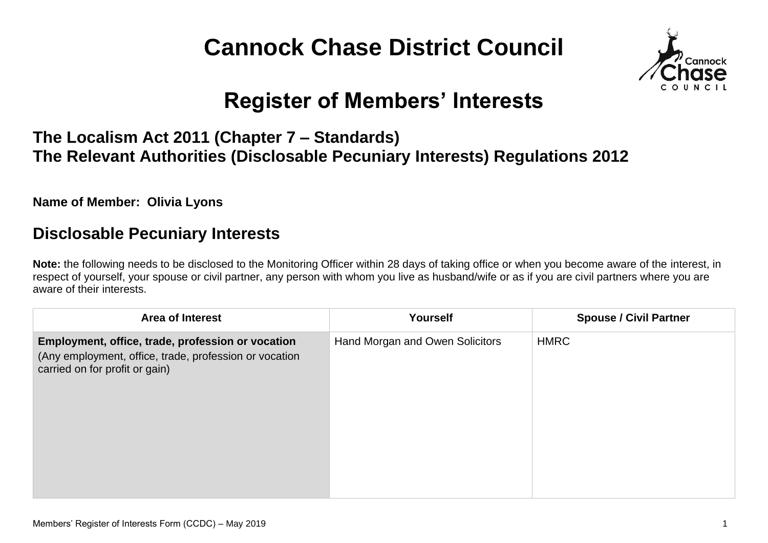# **Cannock Chase District Council**



## **Register of Members' Interests**

#### **The Localism Act 2011 (Chapter 7 – Standards) The Relevant Authorities (Disclosable Pecuniary Interests) Regulations 2012**

**Name of Member: Olivia Lyons**

#### **Disclosable Pecuniary Interests**

**Note:** the following needs to be disclosed to the Monitoring Officer within 28 days of taking office or when you become aware of the interest, in respect of yourself, your spouse or civil partner, any person with whom you live as husband/wife or as if you are civil partners where you are aware of their interests.

| Area of Interest                                                                                                                              | Yourself                        | <b>Spouse / Civil Partner</b> |
|-----------------------------------------------------------------------------------------------------------------------------------------------|---------------------------------|-------------------------------|
| Employment, office, trade, profession or vocation<br>(Any employment, office, trade, profession or vocation<br>carried on for profit or gain) | Hand Morgan and Owen Solicitors | <b>HMRC</b>                   |
|                                                                                                                                               |                                 |                               |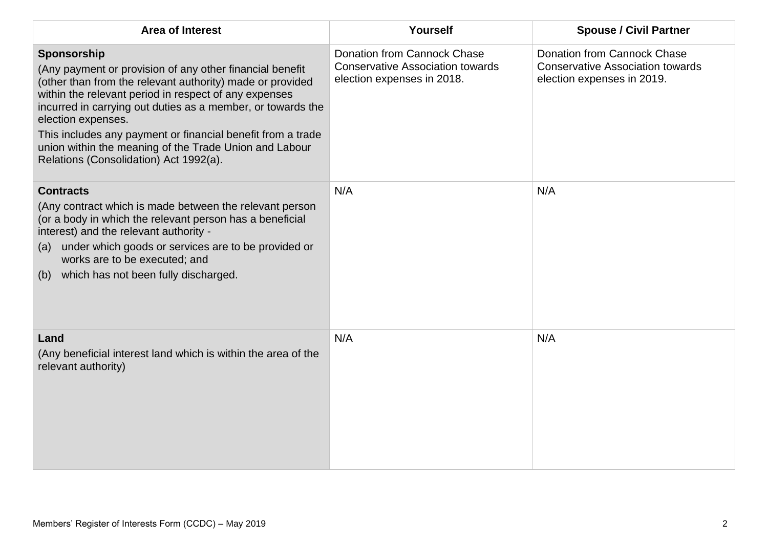| <b>Area of Interest</b>                                                                                                                                                                                                                                                                                                                                                                                                                               | Yourself                                                                                                    | <b>Spouse / Civil Partner</b>                                                                               |
|-------------------------------------------------------------------------------------------------------------------------------------------------------------------------------------------------------------------------------------------------------------------------------------------------------------------------------------------------------------------------------------------------------------------------------------------------------|-------------------------------------------------------------------------------------------------------------|-------------------------------------------------------------------------------------------------------------|
| Sponsorship<br>(Any payment or provision of any other financial benefit<br>(other than from the relevant authority) made or provided<br>within the relevant period in respect of any expenses<br>incurred in carrying out duties as a member, or towards the<br>election expenses.<br>This includes any payment or financial benefit from a trade<br>union within the meaning of the Trade Union and Labour<br>Relations (Consolidation) Act 1992(a). | <b>Donation from Cannock Chase</b><br><b>Conservative Association towards</b><br>election expenses in 2018. | <b>Donation from Cannock Chase</b><br><b>Conservative Association towards</b><br>election expenses in 2019. |
| <b>Contracts</b><br>(Any contract which is made between the relevant person<br>(or a body in which the relevant person has a beneficial<br>interest) and the relevant authority -<br>under which goods or services are to be provided or<br>(a)<br>works are to be executed; and<br>which has not been fully discharged.<br>(b)                                                                                                                       | N/A                                                                                                         | N/A                                                                                                         |
| Land<br>(Any beneficial interest land which is within the area of the<br>relevant authority)                                                                                                                                                                                                                                                                                                                                                          | N/A                                                                                                         | N/A                                                                                                         |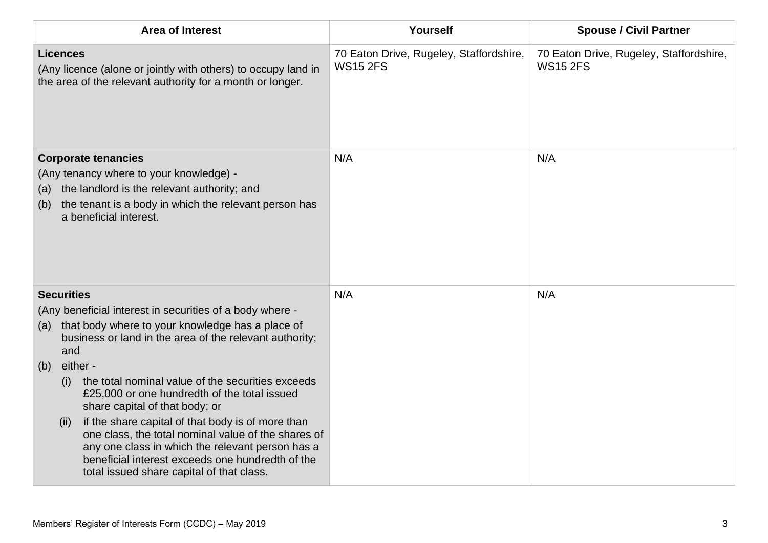| <b>Area of Interest</b>                                                                                                                                                                                                                                                                                                                                                                                                                                                                                                                                                                                                                              | Yourself                                                   | <b>Spouse / Civil Partner</b>                              |
|------------------------------------------------------------------------------------------------------------------------------------------------------------------------------------------------------------------------------------------------------------------------------------------------------------------------------------------------------------------------------------------------------------------------------------------------------------------------------------------------------------------------------------------------------------------------------------------------------------------------------------------------------|------------------------------------------------------------|------------------------------------------------------------|
| <b>Licences</b><br>(Any licence (alone or jointly with others) to occupy land in<br>the area of the relevant authority for a month or longer.                                                                                                                                                                                                                                                                                                                                                                                                                                                                                                        | 70 Eaton Drive, Rugeley, Staffordshire,<br><b>WS15 2FS</b> | 70 Eaton Drive, Rugeley, Staffordshire,<br><b>WS15 2FS</b> |
| <b>Corporate tenancies</b><br>(Any tenancy where to your knowledge) -<br>the landlord is the relevant authority; and<br>(a)<br>the tenant is a body in which the relevant person has<br>(b)<br>a beneficial interest.                                                                                                                                                                                                                                                                                                                                                                                                                                | N/A                                                        | N/A                                                        |
| <b>Securities</b><br>(Any beneficial interest in securities of a body where -<br>that body where to your knowledge has a place of<br>(a)<br>business or land in the area of the relevant authority;<br>and<br>either -<br>(b)<br>the total nominal value of the securities exceeds<br>(i)<br>£25,000 or one hundredth of the total issued<br>share capital of that body; or<br>if the share capital of that body is of more than<br>(ii)<br>one class, the total nominal value of the shares of<br>any one class in which the relevant person has a<br>beneficial interest exceeds one hundredth of the<br>total issued share capital of that class. | N/A                                                        | N/A                                                        |